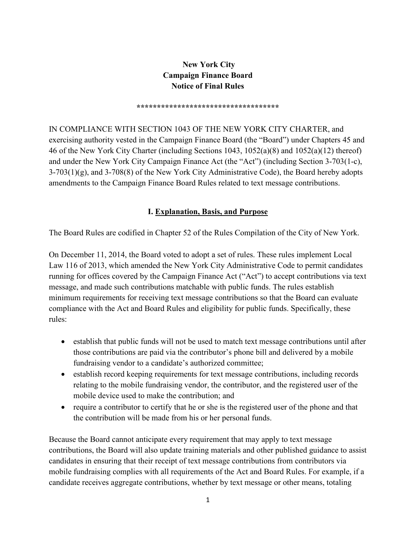#### **New York City Campaign Finance Board Notice of Final Rules**

#### **\*\*\*\*\*\*\*\*\*\*\*\*\*\*\*\*\*\*\*\*\*\*\*\*\*\*\*\*\*\*\*\*\*\*\***

IN COMPLIANCE WITH SECTION 1043 OF THE NEW YORK CITY CHARTER, and exercising authority vested in the Campaign Finance Board (the "Board") under Chapters 45 and 46 of the New York City Charter (including Sections 1043, 1052(a)(8) and 1052(a)(12) thereof) and under the New York City Campaign Finance Act (the "Act") (including Section 3-703(1-c),  $3-703(1)(g)$ , and  $3-708(8)$  of the New York City Administrative Code), the Board hereby adopts amendments to the Campaign Finance Board Rules related to text message contributions.

#### **I. Explanation, Basis, and Purpose**

The Board Rules are codified in Chapter 52 of the Rules Compilation of the City of New York.

On December 11, 2014, the Board voted to adopt a set of rules. These rules implement Local Law 116 of 2013, which amended the New York City Administrative Code to permit candidates running for offices covered by the Campaign Finance Act ("Act") to accept contributions via text message, and made such contributions matchable with public funds. The rules establish minimum requirements for receiving text message contributions so that the Board can evaluate compliance with the Act and Board Rules and eligibility for public funds. Specifically, these rules:

- establish that public funds will not be used to match text message contributions until after those contributions are paid via the contributor's phone bill and delivered by a mobile fundraising vendor to a candidate's authorized committee;
- establish record keeping requirements for text message contributions, including records relating to the mobile fundraising vendor, the contributor, and the registered user of the mobile device used to make the contribution; and
- require a contributor to certify that he or she is the registered user of the phone and that the contribution will be made from his or her personal funds.

Because the Board cannot anticipate every requirement that may apply to text message contributions, the Board will also update training materials and other published guidance to assist candidates in ensuring that their receipt of text message contributions from contributors via mobile fundraising complies with all requirements of the Act and Board Rules. For example, if a candidate receives aggregate contributions, whether by text message or other means, totaling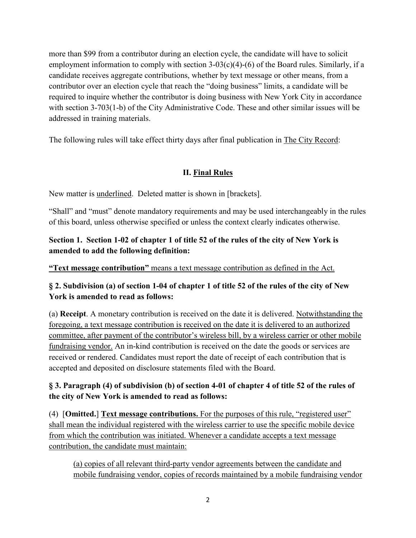more than \$99 from a contributor during an election cycle, the candidate will have to solicit employment information to comply with section 3-03(c)(4)-(6) of the Board rules. Similarly, if a candidate receives aggregate contributions, whether by text message or other means, from a contributor over an election cycle that reach the "doing business" limits, a candidate will be required to inquire whether the contributor is doing business with New York City in accordance with section 3-703(1-b) of the City Administrative Code. These and other similar issues will be addressed in training materials.

The following rules will take effect thirty days after final publication in The City Record:

## **II. Final Rules**

New matter is underlined. Deleted matter is shown in [brackets].

"Shall" and "must" denote mandatory requirements and may be used interchangeably in the rules of this board, unless otherwise specified or unless the context clearly indicates otherwise.

#### **Section 1. Section 1-02 of chapter 1 of title 52 of the rules of the city of New York is amended to add the following definition:**

**"Text message contribution"** means a text message contribution as defined in the Act.

## **§ 2. Subdivision (a) of section 1-04 of chapter 1 of title 52 of the rules of the city of New York is amended to read as follows:**

(a) **Receipt**. A monetary contribution is received on the date it is delivered. Notwithstanding the foregoing, a text message contribution is received on the date it is delivered to an authorized committee, after payment of the contributor's wireless bill, by a wireless carrier or other mobile fundraising vendor. An in-kind contribution is received on the date the goods or services are received or rendered. Candidates must report the date of receipt of each contribution that is accepted and deposited on disclosure statements filed with the Board.

# **§ 3. Paragraph (4) of subdivision (b) of section 4-01 of chapter 4 of title 52 of the rules of the city of New York is amended to read as follows:**

(4) [**Omitted.**] **Text message contributions.** For the purposes of this rule, "registered user" shall mean the individual registered with the wireless carrier to use the specific mobile device from which the contribution was initiated. Whenever a candidate accepts a text message contribution, the candidate must maintain:

(a) copies of all relevant third-party vendor agreements between the candidate and mobile fundraising vendor, copies of records maintained by a mobile fundraising vendor